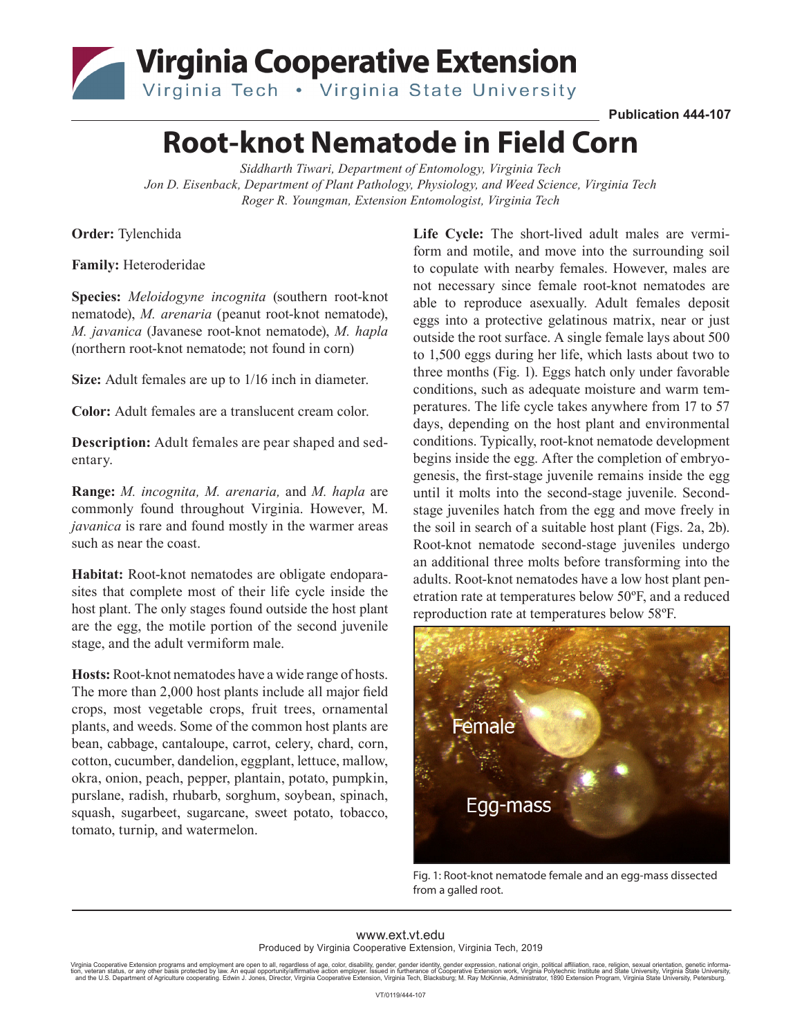## Virginia Cooperative Extension Virginia Tech . Virginia State University

**Publication 444-107**

## **Root-knot Nematode in Field Corn**

*Siddharth Tiwari, Department of Entomology, Virginia Tech Jon D. Eisenback, Department of Plant Pathology, Physiology, and Weed Science, Virginia Tech Roger R. Youngman, Extension Entomologist, Virginia Tech*

**Order:** Tylenchida

**Family:** Heteroderidae

**Species:** *Meloidogyne incognita* (southern root-knot nematode), *M. arenaria* (peanut root-knot nematode), *M. javanica* (Javanese root-knot nematode), *M. hapla*  (northern root-knot nematode; not found in corn)

**Size:** Adult females are up to 1/16 inch in diameter.

**Color:** Adult females are a translucent cream color.

**Description:** Adult females are pear shaped and sedentary.

**Range:** *M. incognita, M. arenaria,* and *M. hapla* are commonly found throughout Virginia. However, M. *javanica* is rare and found mostly in the warmer areas such as near the coast.

**Habitat:** Root-knot nematodes are obligate endoparasites that complete most of their life cycle inside the host plant. The only stages found outside the host plant are the egg, the motile portion of the second juvenile stage, and the adult vermiform male.

**Hosts:** Root-knot nematodes have a wide range of hosts. The more than 2,000 host plants include all major field crops, most vegetable crops, fruit trees, ornamental plants, and weeds. Some of the common host plants are bean, cabbage, cantaloupe, carrot, celery, chard, corn, cotton, cucumber, dandelion, eggplant, lettuce, mallow, okra, onion, peach, pepper, plantain, potato, pumpkin, purslane, radish, rhubarb, sorghum, soybean, spinach, squash, sugarbeet, sugarcane, sweet potato, tobacco, tomato, turnip, and watermelon.

**Life Cycle:** The short-lived adult males are vermiform and motile, and move into the surrounding soil to copulate with nearby females. However, males are not necessary since female root-knot nematodes are able to reproduce asexually. Adult females deposit eggs into a protective gelatinous matrix, near or just outside the root surface. A single female lays about 500 to 1,500 eggs during her life, which lasts about two to three months (Fig. 1). Eggs hatch only under favorable conditions, such as adequate moisture and warm temperatures. The life cycle takes anywhere from 17 to 57 days, depending on the host plant and environmental conditions. Typically, root-knot nematode development begins inside the egg. After the completion of embryogenesis, the first-stage juvenile remains inside the egg until it molts into the second-stage juvenile. Secondstage juveniles hatch from the egg and move freely in the soil in search of a suitable host plant (Figs. 2a, 2b). Root-knot nematode second-stage juveniles undergo an additional three molts before transforming into the adults. Root-knot nematodes have a low host plant penetration rate at temperatures below 50ºF, and a reduced reproduction rate at temperatures below 58ºF.



Fig. 1: Root-knot nematode female and an egg-mass dissected from a galled root.

## www.ext.vt.edu Produced by Virginia Cooperative Extension, Virginia Tech, 2019

Virginia Cooperative Extension programs and employment are open to all, regardless of age, color, disability, gender, gender identity, gender expression, national origin, political affiliation, race, religion, sexual orien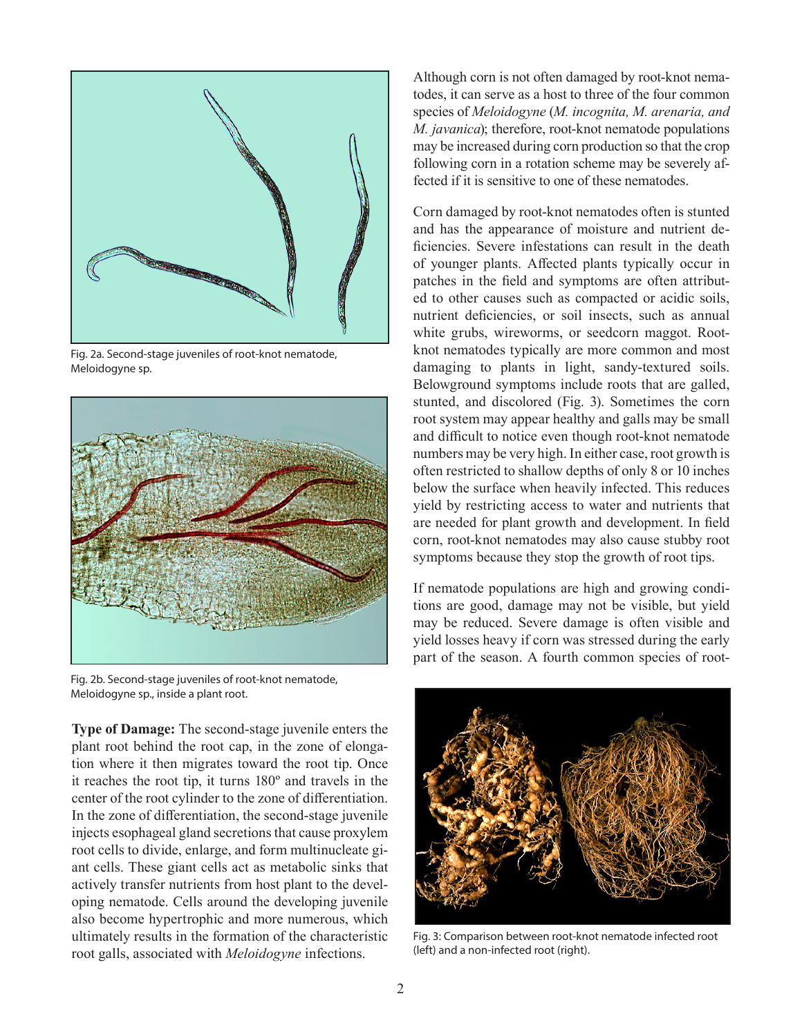

Fig. 2a. Second-stage juveniles of root-knot nematode, Meloidogyne sp.



Fig. 2b. Second-stage juveniles of root-knot nematode, Meloidogyne sp., inside a plant root.

**Type of Damage:** The second-stage juvenile enters the plant root behind the root cap, in the zone of elongation where it then migrates toward the root tip. Once it reaches the root tip, it turns 180º and travels in the center of the root cylinder to the zone of differentiation. In the zone of differentiation, the second-stage juvenile injects esophageal gland secretions that cause proxylem root cells to divide, enlarge, and form multinucleate giant cells. These giant cells act as metabolic sinks that actively transfer nutrients from host plant to the developing nematode. Cells around the developing juvenile also become hypertrophic and more numerous, which ultimately results in the formation of the characteristic root galls, associated with *Meloidogyne* infections.

Although corn is not often damaged by root-knot nematodes, it can serve as a host to three of the four common species of *Meloidogyne* (*M. incognita, M. arenaria, and M. javanica*); therefore, root-knot nematode populations may be increased during corn production so that the crop following corn in a rotation scheme may be severely affected if it is sensitive to one of these nematodes.

Corn damaged by root-knot nematodes often is stunted and has the appearance of moisture and nutrient deficiencies. Severe infestations can result in the death of younger plants. Affected plants typically occur in patches in the field and symptoms are often attributed to other causes such as compacted or acidic soils, nutrient deficiencies, or soil insects, such as annual white grubs, wireworms, or seedcorn maggot. Rootknot nematodes typically are more common and most damaging to plants in light, sandy-textured soils. Belowground symptoms include roots that are galled, stunted, and discolored (Fig. 3). Sometimes the corn root system may appear healthy and galls may be small and difficult to notice even though root-knot nematode numbers may be very high. In either case, root growth is often restricted to shallow depths of only 8 or 10 inches below the surface when heavily infected. This reduces yield by restricting access to water and nutrients that are needed for plant growth and development. In field corn, root-knot nematodes may also cause stubby root symptoms because they stop the growth of root tips.

If nematode populations are high and growing conditions are good, damage may not be visible, but yield may be reduced. Severe damage is often visible and yield losses heavy if corn was stressed during the early part of the season. A fourth common species of root-



Fig. 3: Comparison between root-knot nematode infected root (left) and a non-infected root (right).